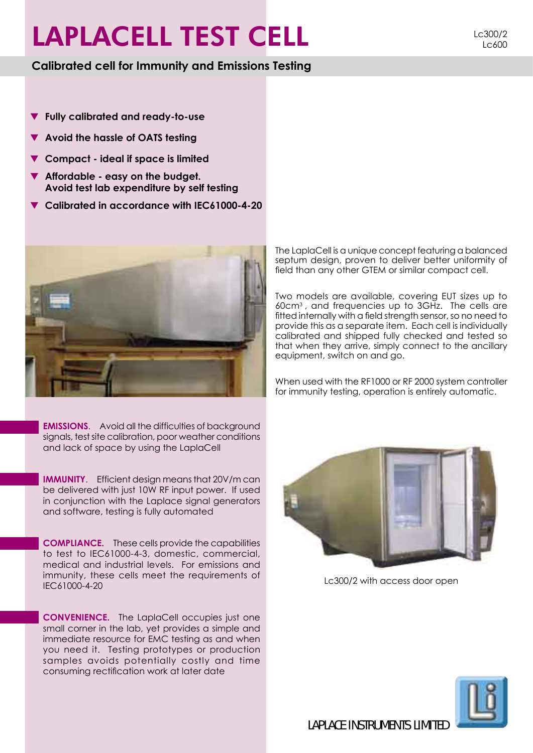# LAPLACELL TEST CELL LC300/2

### **Calibrated cell for Immunity and Emissions Testing**

Lc600

- > **Fully calibrated and ready-to-use**
- > **Avoid the hassle of OATS testing**
- > **Compact ideal if space is limited**
- > **Affordable easy on the budget. Avoid test lab expenditure by self testing**
- > **Calibrated in accordance with IEC61000-4-20**



**EMISSIONS.** Avoid all the difficulties of background signals, test site calibration, poor weather conditions and lack of space by using the LaplaCell

**IMMUNITY**. Efficient design means that 20V/m can be delivered with just 10W RF input power. If used in conjunction with the Laplace signal generators and software, testing is fully automated

**COMPLIANCE.** These cells provide the capabilities to test to IEC61000-4-3, domestic, commercial, medical and industrial levels. For emissions and immunity, these cells meet the requirements of IEC61000-4-20

**CONVENIENCE.** The LaplaCell occupies just one small corner in the lab, yet provides a simple and immediate resource for EMC testing as and when you need it. Testing prototypes or production samples avoids potentially costly and time consuming rectification work at later date

The LaplaCell is a unique concept featuring a balanced septum design, proven to deliver better uniformity of field than any other GTEM or similar compact cell.

Two models are available, covering EUT sizes up to 60cm3 , and frequencies up to 3GHz. The cells are fitted internally with a field strength sensor, so no need to provide this as a separate item. Each cell is individually calibrated and shipped fully checked and tested so that when they arrive, simply connect to the ancillary equipment, switch on and go.

When used with the RF1000 or RF 2000 system controller for immunity testing, operation is entirely automatic.



Lc300/2 with access door open